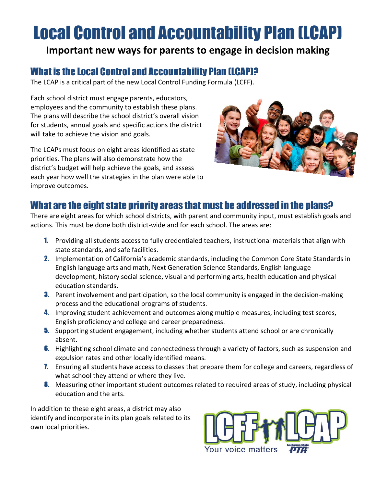# Local Control and Accountability Plan (LCAP)

## **Important new ways for parents to engage in decision making**

### What is the Local Control and Accountability Plan (LCAP)?

The LCAP is a critical part of the new Local Control Funding Formula (LCFF).

Each school district must engage parents, educators, employees and the community to establish these plans. The plans will describe the school district's overall vision for students, annual goals and specific actions the district will take to achieve the vision and goals.

The LCAPs must focus on eight areas identified as state priorities. The plans will also demonstrate how the district's budget will help achieve the goals, and assess each year how well the strategies in the plan were able to improve outcomes.



#### What are the eight state priority areas that must be addressed in the plans?

There are eight areas for which school districts, with parent and community input, must establish goals and actions. This must be done both district-wide and for each school. The areas are:

- 1. Providing all students access to fully credentialed teachers, instructional materials that align with state standards, and safe facilities.
- 2. Implementation of California's academic standards, including the Common Core State Standards in English language arts and math, Next Generation Science Standards, English language development, history social science, visual and performing arts, health education and physical education standards.
- **3.** Parent involvement and participation, so the local community is engaged in the decision-making process and the educational programs of students.
- 4. Improving student achievement and outcomes along multiple measures, including test scores, English proficiency and college and career preparedness.
- **5.** Supporting student engagement, including whether students attend school or are chronically absent.
- **6.** Highlighting school climate and connectedness through a variety of factors, such as suspension and expulsion rates and other locally identified means.
- **7.** Ensuring all students have access to classes that prepare them for college and careers, regardless of what school they attend or where they live.
- **8.** Measuring other important student outcomes related to required areas of study, including physical education and the arts.

In addition to these eight areas, a district may also identify and incorporate in its plan goals related to its own local priorities.